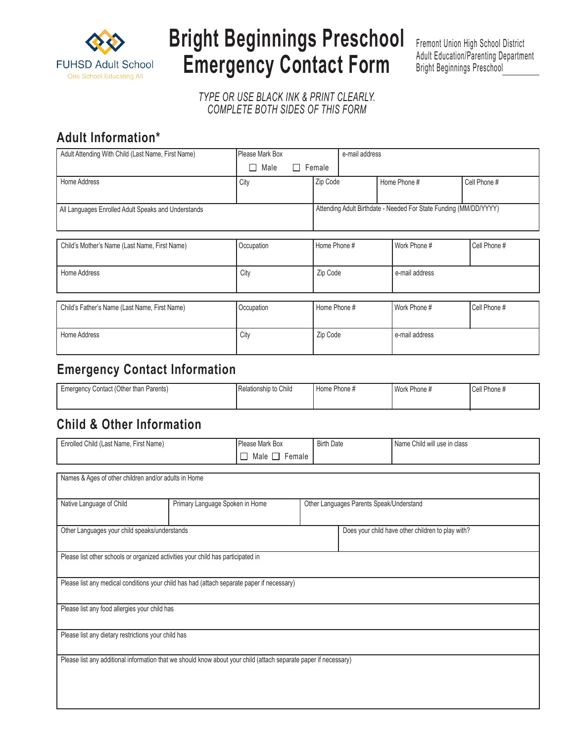

# **Bright Beginnings Preschool Emergency Contact Form**

Fremont Union High School District Adult Education/Parenting Department Bright Beginnings Preschool2021 - 20.

*TYPE OR USE BLACK INK & PRINT CLEARLY. COMPLETE BOTH SIDES OF THIS FORM*

## **Adult Information\***

| Adult Attending With Child (Last Name, First Name)  | Please Mark Box            |                                                                   | e-mail address |                |                |  |
|-----------------------------------------------------|----------------------------|-------------------------------------------------------------------|----------------|----------------|----------------|--|
|                                                     | $\Box$ Female<br>Male<br>П |                                                                   |                |                |                |  |
| Home Address                                        | City                       | Zip Code                                                          |                | Home Phone #   | Cell Phone #   |  |
|                                                     |                            |                                                                   |                |                |                |  |
| All Languages Enrolled Adult Speaks and Understands |                            | Attending Adult Birthdate - Needed For State Funding (MM/DD/YYYY) |                |                |                |  |
|                                                     |                            |                                                                   |                |                |                |  |
|                                                     |                            |                                                                   |                |                |                |  |
| Child's Mother's Name (Last Name, First Name)       | Occupation                 | Home Phone #                                                      |                | Work Phone #   | Cell Phone #   |  |
|                                                     |                            |                                                                   |                |                |                |  |
| Home Address                                        | City                       | Zip Code                                                          |                |                | e-mail address |  |
|                                                     |                            |                                                                   |                |                |                |  |
| Child's Father's Name (Last Name, First Name)       | Occupation                 | Home Phone #                                                      |                | Work Phone #   | Cell Phone #   |  |
|                                                     |                            |                                                                   |                |                |                |  |
| Home Address                                        | City                       | Zip Code                                                          |                | e-mail address |                |  |
|                                                     |                            |                                                                   |                |                |                |  |

### **Emergency Contact Information**

| Gontact (Other than Parents)<br>Emergency | Relationship to Child | ` Phone #<br>Home | <b>Work</b><br>Phone # | $\degree$ Phone $\ast$ |
|-------------------------------------------|-----------------------|-------------------|------------------------|------------------------|
|                                           |                       |                   |                        |                        |

#### **Child & Other Information**

| Enrolled Child (Last Name, First Name)                                                                           |                                 | Please Mark Box           | <b>Birth Date</b>                        |                                                   | Name Child will use in class |  |  |  |  |
|------------------------------------------------------------------------------------------------------------------|---------------------------------|---------------------------|------------------------------------------|---------------------------------------------------|------------------------------|--|--|--|--|
|                                                                                                                  |                                 | $\Box$ Male $\Box$ Female |                                          |                                                   |                              |  |  |  |  |
|                                                                                                                  |                                 |                           |                                          |                                                   |                              |  |  |  |  |
| Names & Ages of other children and/or adults in Home                                                             |                                 |                           |                                          |                                                   |                              |  |  |  |  |
|                                                                                                                  |                                 |                           |                                          |                                                   |                              |  |  |  |  |
| Native Language of Child                                                                                         | Primary Language Spoken in Home |                           | Other Languages Parents Speak/Understand |                                                   |                              |  |  |  |  |
|                                                                                                                  |                                 |                           |                                          |                                                   |                              |  |  |  |  |
| Other Languages your child speaks/understands                                                                    |                                 |                           |                                          | Does your child have other children to play with? |                              |  |  |  |  |
|                                                                                                                  |                                 |                           |                                          |                                                   |                              |  |  |  |  |
| Please list other schools or organized activities your child has participated in                                 |                                 |                           |                                          |                                                   |                              |  |  |  |  |
|                                                                                                                  |                                 |                           |                                          |                                                   |                              |  |  |  |  |
| Please list any medical conditions your child has had (attach separate paper if necessary)                       |                                 |                           |                                          |                                                   |                              |  |  |  |  |
|                                                                                                                  |                                 |                           |                                          |                                                   |                              |  |  |  |  |
| Please list any food allergies your child has                                                                    |                                 |                           |                                          |                                                   |                              |  |  |  |  |
|                                                                                                                  |                                 |                           |                                          |                                                   |                              |  |  |  |  |
| Please list any dietary restrictions your child has                                                              |                                 |                           |                                          |                                                   |                              |  |  |  |  |
|                                                                                                                  |                                 |                           |                                          |                                                   |                              |  |  |  |  |
| Please list any additional information that we should know about your child (attach separate paper if necessary) |                                 |                           |                                          |                                                   |                              |  |  |  |  |
|                                                                                                                  |                                 |                           |                                          |                                                   |                              |  |  |  |  |
|                                                                                                                  |                                 |                           |                                          |                                                   |                              |  |  |  |  |
|                                                                                                                  |                                 |                           |                                          |                                                   |                              |  |  |  |  |
|                                                                                                                  |                                 |                           |                                          |                                                   |                              |  |  |  |  |